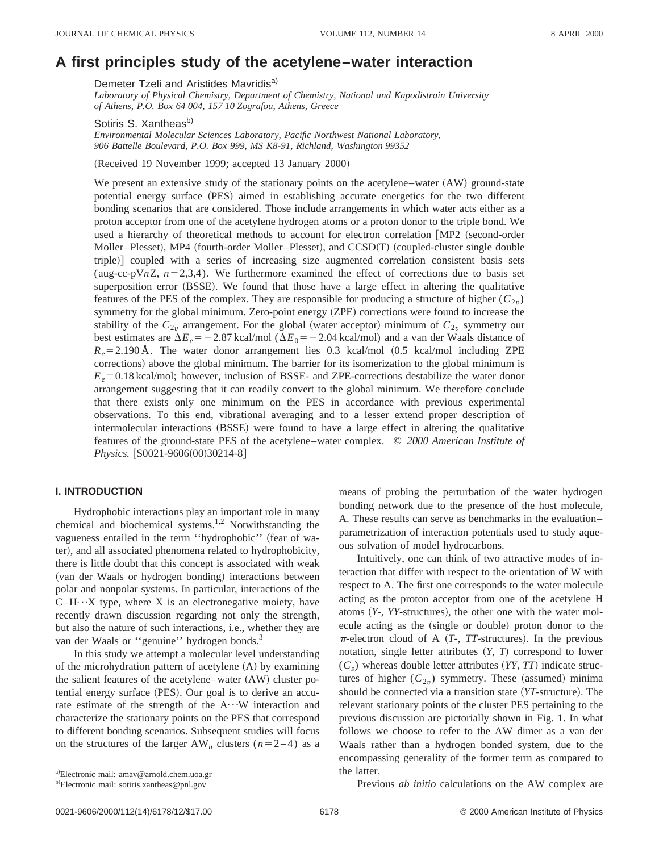# **A first principles study of the acetylene–water interaction**

Demeter Tzeli and Aristides Mavridis<sup>a)</sup>

*Laboratory of Physical Chemistry, Department of Chemistry, National and Kapodistrain University of Athens, P.O. Box 64 004, 157 10 Zografou, Athens, Greece*

Sotiris S. Xantheas<sup>b)</sup>

*Environmental Molecular Sciences Laboratory, Pacific Northwest National Laboratory, 906 Battelle Boulevard, P.O. Box 999, MS K8-91, Richland, Washington 99352*

(Received 19 November 1999; accepted 13 January 2000)

We present an extensive study of the stationary points on the acetylene–water  $(AW)$  ground-state potential energy surface (PES) aimed in establishing accurate energetics for the two different bonding scenarios that are considered. Those include arrangements in which water acts either as a proton acceptor from one of the acetylene hydrogen atoms or a proton donor to the triple bond. We used a hierarchy of theoretical methods to account for electron correlation  $[MP2]$  (second-order Moller–Plesset), MP4 (fourth-order Moller–Plesset), and CCSD(T) (coupled-cluster single double triple) coupled with a series of increasing size augmented correlation consistent basis sets (aug-cc-pV $nZ$ ,  $n=2,3,4$ ). We furthermore examined the effect of corrections due to basis set superposition error (BSSE). We found that those have a large effect in altering the qualitative features of the PES of the complex. They are responsible for producing a structure of higher  $(C_{2v})$ symmetry for the global minimum. Zero-point energy (ZPE) corrections were found to increase the stability of the  $C_{2v}$  arrangement. For the global (water acceptor) minimum of  $C_{2v}$  symmetry our best estimates are  $\Delta E_e = -2.87$  kcal/mol ( $\Delta E_0 = -2.04$  kcal/mol) and a van der Waals distance of  $R_e$ =2.190 Å. The water donor arrangement lies 0.3 kcal/mol  $(0.5 \text{ kcal/mol}$  including ZPE corrections) above the global minimum. The barrier for its isomerization to the global minimum is  $E_e$ =0.18 kcal/mol; however, inclusion of BSSE- and ZPE-corrections destabilize the water donor arrangement suggesting that it can readily convert to the global minimum. We therefore conclude that there exists only one minimum on the PES in accordance with previous experimental observations. To this end, vibrational averaging and to a lesser extend proper description of intermolecular interactions (BSSE) were found to have a large effect in altering the qualitative features of the ground-state PES of the acetylene–water complex. © *2000 American Institute of Physics.* [S0021-9606(00)30214-8]

# **I. INTRODUCTION**

Hydrophobic interactions play an important role in many chemical and biochemical systems.<sup>1,2</sup> Notwithstanding the vagueness entailed in the term "hydrophobic" (fear of water), and all associated phenomena related to hydrophobicity, there is little doubt that this concept is associated with weak (van der Waals or hydrogen bonding) interactions between polar and nonpolar systems. In particular, interactions of the  $C-H\cdots X$  type, where X is an electronegative moiety, have recently drawn discussion regarding not only the strength, but also the nature of such interactions, i.e., whether they are van der Waals or "genuine" hydrogen bonds.<sup>3</sup>

In this study we attempt a molecular level understanding of the microhydration pattern of acetylene  $(A)$  by examining the salient features of the acetylene–water  $(AW)$  cluster potential energy surface (PES). Our goal is to derive an accurate estimate of the strength of the  $A \cdots W$  interaction and characterize the stationary points on the PES that correspond to different bonding scenarios. Subsequent studies will focus on the structures of the larger  $AW_n$  clusters  $(n=2-4)$  as a means of probing the perturbation of the water hydrogen bonding network due to the presence of the host molecule, A. These results can serve as benchmarks in the evaluation– parametrization of interaction potentials used to study aqueous solvation of model hydrocarbons.

Intuitively, one can think of two attractive modes of interaction that differ with respect to the orientation of W with respect to A. The first one corresponds to the water molecule acting as the proton acceptor from one of the acetylene H atoms  $(Y - Y)$ -structures), the other one with the water molecule acting as the (single or double) proton donor to the  $\pi$ -electron cloud of A  $(T<sub>-</sub>, TT-structures)$ . In the previous notation, single letter attributes  $(Y, T)$  correspond to lower  $(C<sub>s</sub>)$  whereas double letter attributes (*YY, TT*) indicate structures of higher  $(C_{2v})$  symmetry. These (assumed) minima should be connected via a transition state (*YT*-structure). The relevant stationary points of the cluster PES pertaining to the previous discussion are pictorially shown in Fig. 1. In what follows we choose to refer to the AW dimer as a van der Waals rather than a hydrogen bonded system, due to the encompassing generality of the former term as compared to the latter.

Previous *ab initio* calculations on the AW complex are

a)Electronic mail: amav@arnold.chem.uoa.gr

<sup>&</sup>lt;sup>b)</sup>Electronic mail: sotiris.xantheas@pnl.gov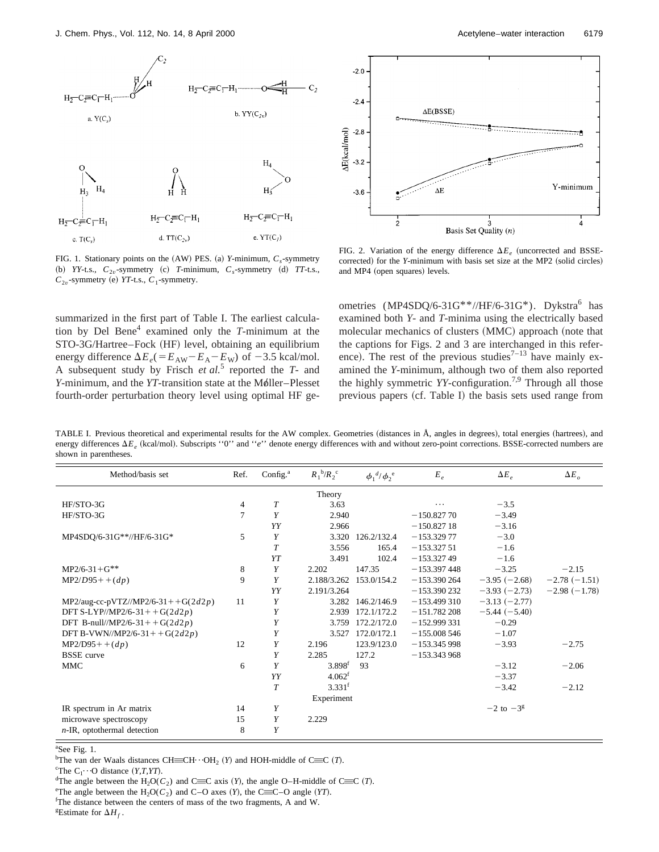

FIG. 1. Stationary points on the  $(AW)$  PES. (a) *Y*-minimum,  $C_s$ -symmetry (b) *YY*-t.s.,  $C_{2v}$ -symmetry (c) *T*-minimum,  $C_s$ -symmetry (d) *TT*-t.s.,  $C_{2v}$ -symmetry (e) *YT*-t.s.,  $C_1$ -symmetry.

summarized in the first part of Table I. The earliest calculation by Del Bene4 examined only the *T*-minimum at the STO-3G/Hartree–Fock (HF) level, obtaining an equilibrium energy difference  $\Delta E_e (= E_{AW} - E_A - E_W)$  of  $-3.5$  kcal/mol. A subsequent study by Frisch *et al.*<sup>5</sup> reported the *T*- and *Y*-minimum, and the *YT*-transition state at the Møller–Plesset fourth-order perturbation theory level using optimal HF ge-



FIG. 2. Variation of the energy difference  $\Delta E_e$  (uncorrected and BSSEcorrected) for the *Y*-minimum with basis set size at the MP2 (solid circles) and MP4 (open squares) levels.

ometries (MP4SDQ/6-31G\*\*//HF/6-31G\*). Dykstra<sup>6</sup> has examined both *Y*- and *T*-minima using the electrically based molecular mechanics of clusters (MMC) approach (note that the captions for Figs. 2 and 3 are interchanged in this reference). The rest of the previous studies<sup> $7-13$ </sup> have mainly examined the *Y*-minimum, although two of them also reported the highly symmetric *YY*-configuration.7,9 Through all those previous papers  $(cf.$  Table I) the basis sets used range from

TABLE I. Previous theoretical and experimental results for the AW complex. Geometries (distances in Å, angles in degrees), total energies (hartrees), and energy differences  $\Delta E_e$  (kcal/mol). Subscripts ''0'' and ''*e*'' denote energy differences with and without zero-point corrections. BSSE-corrected numbers are shown in parentheses.

| Method/basis set                   | Ref. | Config. $^{\rm a}$ | $R_1^{\ b}/R_2^{\ c}$ | $\phi_1^{\ d/}\phi_2^{\ e}$ | $E_e$         | $\Delta E_e$     | $\Delta E_o$   |
|------------------------------------|------|--------------------|-----------------------|-----------------------------|---------------|------------------|----------------|
|                                    |      |                    | Theory                |                             |               |                  |                |
| HF/STO-3G                          | 4    | $\overline{T}$     | 3.63                  |                             | .             | $-3.5$           |                |
| HF/STO-3G                          | 7    | Y                  | 2.940                 |                             | $-150.82770$  | $-3.49$          |                |
|                                    |      | YY                 | 2.966                 |                             | $-150.82718$  | $-3.16$          |                |
| MP4SDQ/6-31G**//HF/6-31G*          | 5    | Y                  | 3.320                 | 126.2/132.4                 | $-153.32977$  | $-3.0$           |                |
|                                    |      | $\overline{T}$     | 3.556                 | 165.4                       | $-153.32751$  | $-1.6$           |                |
|                                    |      | YT                 | 3.491                 | 102.4                       | $-153.32749$  | $-1.6$           |                |
| $MP2/6-31+G**$                     | 8    | Y                  | 2.202                 | 147.35                      | $-153.397448$ | $-3.25$          | $-2.15$        |
| $MP2/D95 + (dp)$                   | 9    | Y                  | 2.188/3.262           | 153.0/154.2                 | $-153.390264$ | $-3.95(-2.68)$   | $-2.78(-1.51)$ |
|                                    |      | YY                 | 2.191/3.264           |                             | $-153.390232$ | $-3.93(-2.73)$   | $-2.98(-1.78)$ |
| MP2/aug-cc-pVTZ//MP2/6-31++G(2d2p) | 11   | Y                  | 3.282                 | 146.2/146.9                 | $-153.499310$ | $-3.13(-2.77)$   |                |
| DFT S-LYP//MP2/6-31++G(2d2p)       |      | Y                  | 2.939                 | 172.1/172.2                 | $-151.782208$ | $-5.44(-5.40)$   |                |
| DFT B-null//MP2/6-31++G(2d2p)      |      | Y                  | 3.759                 | 172.2/172.0                 | $-152.999331$ | $-0.29$          |                |
| DFT B-VWN//MP2/6-31++G(2d2p)       |      | Y                  | 3.527                 | 172.0/172.1                 | $-155.008546$ | $-1.07$          |                |
| $MP2/D95 + (dp)$                   | 12   | Y                  | 2.196                 | 123.9/123.0                 | $-153.345998$ | $-3.93$          | $-2.75$        |
| <b>BSSE</b> curve                  |      | Y                  | 2.285                 | 127.2                       | $-153.343968$ |                  |                |
| <b>MMC</b>                         | 6    | Y                  | $3.898^{f}$           | 93                          |               | $-3.12$          | $-2.06$        |
|                                    |      | YY                 | 4.062 <sup>f</sup>    |                             |               | $-3.37$          |                |
|                                    |      | T                  | 3.331 <sup>f</sup>    |                             |               | $-3.42$          | $-2.12$        |
|                                    |      |                    | Experiment            |                             |               |                  |                |
| IR spectrum in Ar matrix           | 14   | Υ                  |                       |                             |               | $-2$ to $-3^{g}$ |                |
| microwave spectroscopy             | 15   | Y                  | 2.229                 |                             |               |                  |                |
| $n$ -IR, optothermal detection     | 8    | Y                  |                       |                             |               |                  |                |

a See Fig. 1.

<sup>b</sup>The van der Waals distances CH $\equiv$ CH···OH<sub>2</sub> (*Y*) and HOH-middle of C $\equiv$ C (*T*). <sup>c</sup>The *C* ... O distance (*Y T VT*)

<sup>°</sup>The C<sub>1</sub> $\cdot \cdot \cdot$ O distance (*Y,T,YT*).

<sup>d</sup>The angle between the  $H_2O(C_2)$  and C=C axis *(Y)*, the angle O–H-middle of C=C *(T)*.

<sup>e</sup>The angle between the  $H_2O(C_2)$  and C–O axes  $(Y)$ , the C $\equiv$ C–O angle  $(YT)$ .

<sup>f</sup>The distance between the centers of mass of the two fragments, A and W.

<sup>g</sup>Estimate for  $\Delta H_f$ .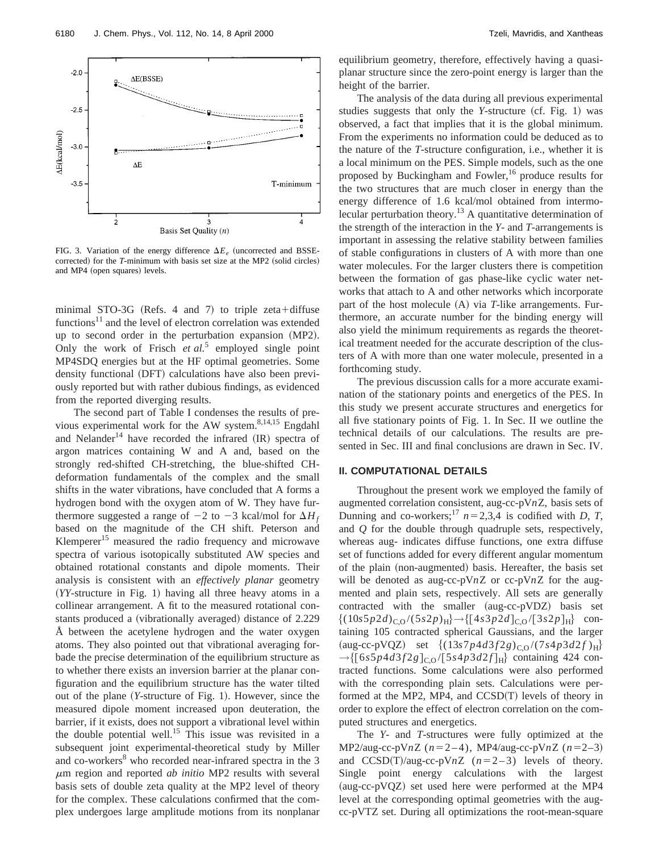

FIG. 3. Variation of the energy difference  $\Delta E_e$  (uncorrected and BSSEcorrected) for the *T*-minimum with basis set size at the MP2 (solid circles) and MP4 (open squares) levels.

minimal STO-3G (Refs. 4 and 7) to triple zeta+diffuse functions<sup>11</sup> and the level of electron correlation was extended up to second order in the perturbation expansion (MP2). Only the work of Frisch *et al.*<sup>5</sup> employed single point MP4SDQ energies but at the HF optimal geometries. Some density functional (DFT) calculations have also been previously reported but with rather dubious findings, as evidenced from the reported diverging results.

The second part of Table I condenses the results of previous experimental work for the AW system.<sup>8,14,15</sup> Engdahl and Nelander<sup>14</sup> have recorded the infrared  $(IR)$  spectra of argon matrices containing W and A and, based on the strongly red-shifted CH-stretching, the blue-shifted CHdeformation fundamentals of the complex and the small shifts in the water vibrations, have concluded that A forms a hydrogen bond with the oxygen atom of W. They have furthermore suggested a range of  $-2$  to  $-3$  kcal/mol for  $\Delta H_f$ based on the magnitude of the CH shift. Peterson and Klemperer<sup>15</sup> measured the radio frequency and microwave spectra of various isotopically substituted AW species and obtained rotational constants and dipole moments. Their analysis is consistent with an *effectively planar* geometry  $(YY-structure in Fig. 1)$  having all three heavy atoms in a collinear arrangement. A fit to the measured rotational constants produced a (vibrationally averaged) distance of 2.229 Å between the acetylene hydrogen and the water oxygen atoms. They also pointed out that vibrational averaging forbade the precise determination of the equilibrium structure as to whether there exists an inversion barrier at the planar configuration and the equilibrium structure has the water tilted out of the plane (*Y*-structure of Fig. 1). However, since the measured dipole moment increased upon deuteration, the barrier, if it exists, does not support a vibrational level within the double potential well.<sup>15</sup> This issue was revisited in a subsequent joint experimental-theoretical study by Miller and co-workers<sup>8</sup> who recorded near-infrared spectra in the 3 <sup>m</sup>m region and reported *ab initio* MP2 results with several basis sets of double zeta quality at the MP2 level of theory for the complex. These calculations confirmed that the complex undergoes large amplitude motions from its nonplanar equilibrium geometry, therefore, effectively having a quasiplanar structure since the zero-point energy is larger than the height of the barrier.

The analysis of the data during all previous experimental studies suggests that only the *Y*-structure (cf. Fig. 1) was observed, a fact that implies that it is the global minimum. From the experiments no information could be deduced as to the nature of the *T*-structure configuration, i.e., whether it is a local minimum on the PES. Simple models, such as the one proposed by Buckingham and Fowler,<sup>16</sup> produce results for the two structures that are much closer in energy than the energy difference of 1.6 kcal/mol obtained from intermolecular perturbation theory.<sup>13</sup> A quantitative determination of the strength of the interaction in the *Y*- and *T*-arrangements is important in assessing the relative stability between families of stable configurations in clusters of A with more than one water molecules. For the larger clusters there is competition between the formation of gas phase-like cyclic water networks that attach to A and other networks which incorporate part of the host molecule (A) via *T*-like arrangements. Furthermore, an accurate number for the binding energy will also yield the minimum requirements as regards the theoretical treatment needed for the accurate description of the clusters of A with more than one water molecule, presented in a forthcoming study.

The previous discussion calls for a more accurate examination of the stationary points and energetics of the PES. In this study we present accurate structures and energetics for all five stationary points of Fig. 1. In Sec. II we outline the technical details of our calculations. The results are presented in Sec. III and final conclusions are drawn in Sec. IV.

## **II. COMPUTATIONAL DETAILS**

Throughout the present work we employed the family of augmented correlation consistent, aug-cc-pV*n*Z, basis sets of Dunning and co-workers;<sup>17</sup>  $n=2,3,4$  is codified with *D, T*, and *Q* for the double through quadruple sets, respectively, whereas aug- indicates diffuse functions, one extra diffuse set of functions added for every different angular momentum of the plain (non-augmented) basis. Hereafter, the basis set will be denoted as aug-cc-pV*n*Z or cc-pV*n*Z for the augmented and plain sets, respectively. All sets are generally contracted with the smaller (aug-cc-pVDZ) basis set  $\{(10s5p2d)_{C,Q}/(5s2p)_{H}\}\rightarrow \{[4s3p2d]_{C,Q}/[3s2p]_{H}\}$  containing 105 contracted spherical Gaussians, and the larger  $(\text{aug-cc-pVQZ})$  set  $\{(13s7p4d3f2g)_{C,Q}/(7s4p3d2f)_{H}\}$  $\rightarrow$ {[6*s*5*p*4*d*3*f*2*g*]<sub>CO</sub>/[5*s*4*p*3*d*2*f*]<sub>H</sub>} containing 424 contracted functions. Some calculations were also performed with the corresponding plain sets. Calculations were performed at the MP2, MP4, and  $CCSD(T)$  levels of theory in order to explore the effect of electron correlation on the computed structures and energetics.

The *Y*- and *T*-structures were fully optimized at the MP2/aug-cc-pVnZ  $(n=2-4)$ , MP4/aug-cc-pVnZ  $(n=2-3)$ and  $CCSD(T)/aug-cc-pVnZ$   $(n=2-3)$  levels of theory. Single point energy calculations with the largest  $(aug-cc-pVQZ)$  set used here were performed at the MP4 level at the corresponding optimal geometries with the augcc-pVTZ set. During all optimizations the root-mean-square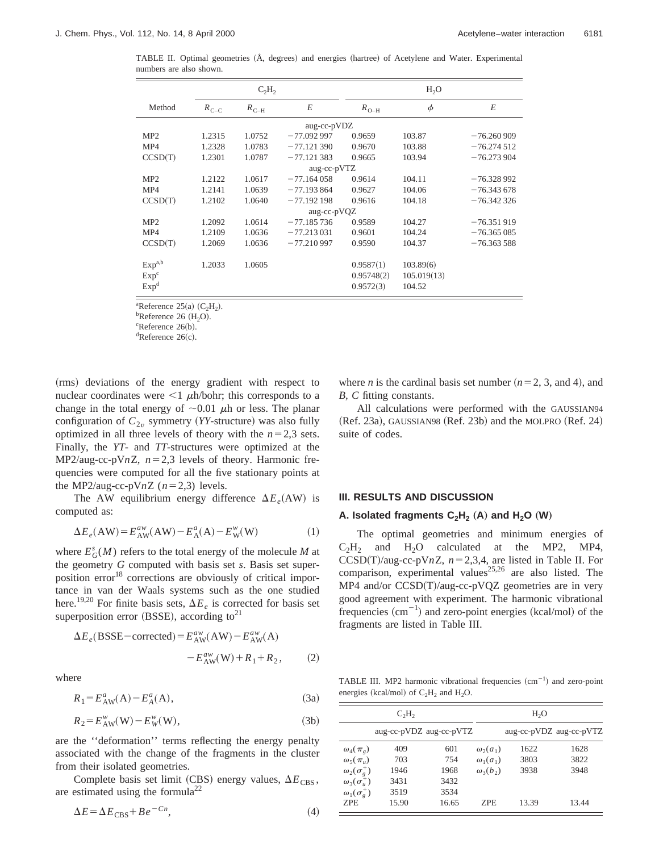TABLE II. Optimal geometries (Å, degrees) and energies (hartree) of Acetylene and Water. Experimental numbers are also shown.

|                    |           | $C_2H_2$  |              | H <sub>2</sub> O |             |              |  |
|--------------------|-----------|-----------|--------------|------------------|-------------|--------------|--|
| Method             | $R_{C-C}$ | $R_{C-H}$ | E            | $R_{O-H}$        | $\phi$      | E            |  |
|                    |           |           | aug-cc-pVDZ  |                  |             |              |  |
| MP2                | 1.2315    | 1.0752    | $-77.092997$ | 0.9659           | 103.87      | $-76.260909$ |  |
| MP4                | 1.2328    | 1.0783    | $-77.121390$ | 0.9670           | 103.88      | $-76.274512$ |  |
| CCSD(T)            | 1.2301    | 1.0787    | $-77.121383$ | 0.9665           | 103.94      | $-76.273904$ |  |
|                    |           |           | aug-cc-pVTZ  |                  |             |              |  |
| MP <sub>2</sub>    | 1.2122    | 1.0617    | $-77.164058$ | 0.9614           | 104.11      | $-76.328992$ |  |
| MP4                | 1.2141    | 1.0639    | $-77.193864$ | 0.9627           | 104.06      | $-76.343678$ |  |
| CCSD(T)            | 1.2102    | 1.0640    | $-77.192198$ | 0.9616           | 104.18      | $-76.342326$ |  |
|                    |           |           | aug-cc-pVQZ  |                  |             |              |  |
| MP2                | 1.2092    | 1.0614    | $-77.185736$ | 0.9589           | 104.27      | $-76.351919$ |  |
| MP4                | 1.2109    | 1.0636    | $-77.213031$ | 0.9601           | 104.24      | $-76.365085$ |  |
| CCSD(T)            | 1.2069    | 1.0636    | $-77.210997$ | 0.9590           | 104.37      | $-76.363588$ |  |
| Exp <sup>a,b</sup> | 1.2033    | 1.0605    |              | 0.9587(1)        | 103.89(6)   |              |  |
| Exp <sup>c</sup>   |           |           |              | 0.95748(2)       | 105.019(13) |              |  |
| Exp <sup>d</sup>   |           |           |              | 0.9572(3)        | 104.52      |              |  |

<sup>a</sup>Reference 25(a)  $(C_2H_2)$ .<br><sup>b</sup>Reference 26 (H O)

<sup>b</sup>Reference 26  $(H<sub>2</sub>O)$ .

 ${}^{\text{c}}$ Reference 26(b).

 ${}^{d}$ Reference 26(c).

(rms) deviations of the energy gradient with respect to nuclear coordinates were  $\leq 1$   $\mu$ h/bohr; this corresponds to a change in the total energy of  $\sim 0.01$   $\mu$ h or less. The planar configuration of  $C_{2v}$  symmetry (*YY*-structure) was also fully optimized in all three levels of theory with the  $n=2,3$  sets. Finally, the *YT*- and *TT*-structures were optimized at the MP2/aug-cc-pV $nZ$ ,  $n=2,3$  levels of theory. Harmonic frequencies were computed for all the five stationary points at the MP2/aug-cc-pV $nZ$  ( $n=2,3$ ) levels.

The AW equilibrium energy difference  $\Delta E_e$ (AW) is computed as:

$$
\Delta E_e(\text{AW}) = E_{\text{AW}}^{aw}(\text{AW}) - E_{\text{A}}^a(\text{A}) - E_{\text{W}}^w(\text{W})
$$
\n(1)

where  $E_G^s(M)$  refers to the total energy of the molecule *M* at the geometry *G* computed with basis set *s*. Basis set superposition error<sup>18</sup> corrections are obviously of critical importance in van der Waals systems such as the one studied here.<sup>19,20</sup> For finite basis sets,  $\Delta E_e$  is corrected for basis set superposition error (BSSE), according to<sup>21</sup>

$$
\Delta E_e(\text{BSSE} - \text{corrected}) = E_{\text{AW}}^{aw}(\text{AW}) - E_{\text{AW}}^{aw}(\text{A})
$$

$$
- E_{\text{AW}}^{aw}(\text{W}) + R_1 + R_2, \qquad (2)
$$

where

$$
R_1 = E_{AW}^a(A) - E_A^a(A),
$$
\n(3a)

$$
R_2 = E_{\text{AW}}^w(\mathbf{W}) - E_W^w(\mathbf{W}),\tag{3b}
$$

are the ''deformation'' terms reflecting the energy penalty associated with the change of the fragments in the cluster from their isolated geometries.

Complete basis set limit (CBS) energy values,  $\Delta E_{\rm CBS}$ , are estimated using the formula<sup>22</sup>

$$
\Delta E = \Delta E_{\rm CBS} + B e^{-Cn},\tag{4}
$$

where *n* is the cardinal basis set number  $(n=2, 3, \text{ and } 4)$ , and *B, C* fitting constants.

All calculations were performed with the GAUSSIAN94  $(Ref. 23a)$ , GAUSSIAN98  $(Ref. 23b)$  and the MOLPRO  $(Ref. 24)$ suite of codes.

# **III. RESULTS AND DISCUSSION**

# A. Isolated fragments  $C_2H_2$  (A) and  $H_2O$  (W)

The optimal geometries and minimum energies of  $C_2H_2$  and  $H_2O$  calculated at the MP2, MP4,  $CCSD(T)/aug-cc-pVnZ, n=2,3,4$ , are listed in Table II. For comparison, experimental values<sup>25,26</sup> are also listed. The MP4 and/or CCSD(T)/aug-cc-pVQZ geometries are in very good agreement with experiment. The harmonic vibrational frequencies  $(cm<sup>-1</sup>)$  and zero-point energies (kcal/mol) of the fragments are listed in Table III.

TABLE III. MP2 harmonic vibrational frequencies  $(cm<sup>-1</sup>)$  and zero-point energies (kcal/mol) of  $C_2H_2$  and  $H_2O$ .

|                        | $C_2H_2$                |       |                 | H <sub>2</sub> O        |       |
|------------------------|-------------------------|-------|-----------------|-------------------------|-------|
|                        | aug-cc-pVDZ aug-cc-pVTZ |       |                 | aug-cc-pVDZ aug-cc-pVTZ |       |
| $\omega_4(\pi_g)$      | 409                     | 601   | $\omega_2(a_1)$ | 1622                    | 1628  |
| $\omega_{5}(\pi_{u})$  | 703                     | 754   | $\omega_1(a_1)$ | 3803                    | 3822  |
| $\omega_2(\sigma_g^+)$ | 1946                    | 1968  | $\omega_3(b_2)$ | 3938                    | 3948  |
| $\omega_3(\sigma_u^+)$ | 3431                    | 3432  |                 |                         |       |
| $\omega_1(\sigma_e^+)$ | 3519                    | 3534  |                 |                         |       |
| <b>ZPE</b>             | 15.90                   | 16.65 | <b>ZPE</b>      | 13.39                   | 13.44 |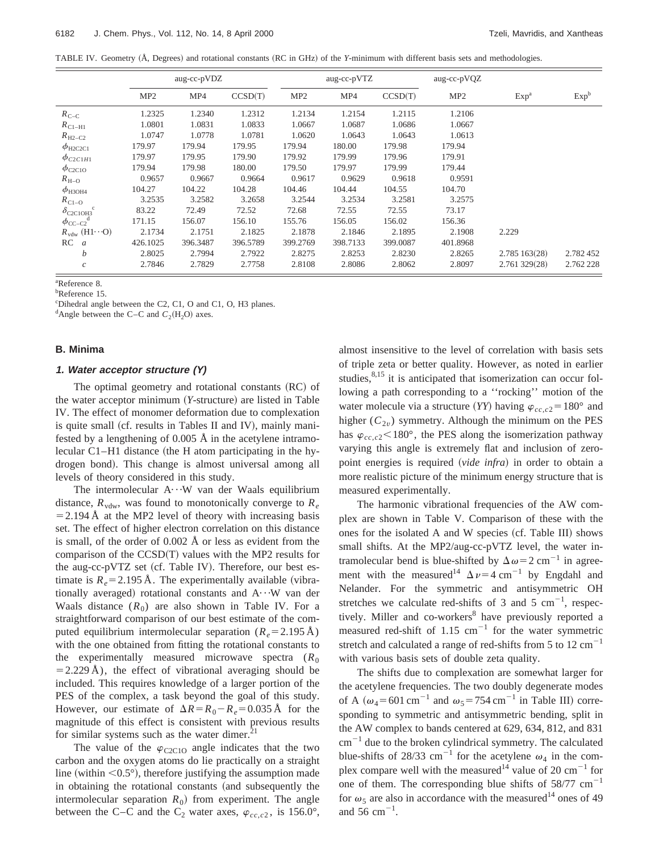TABLE IV. Geometry (Å, Degrees) and rotational constants (RC in GHz) of the *Y*-minimum with different basis sets and methodologies.

|                                   |                 | aug-cc-pVDZ |          |                 | aug-cc-pVTZ |          | aug-cc-pVQZ     |                  |                  |
|-----------------------------------|-----------------|-------------|----------|-----------------|-------------|----------|-----------------|------------------|------------------|
|                                   | MP <sub>2</sub> | MP4         | CCSD(T)  | MP <sub>2</sub> | MP4         | CCSD(T)  | MP <sub>2</sub> | Exp <sup>a</sup> | Exp <sup>b</sup> |
| $R_{C-C}$                         | 1.2325          | 1.2340      | 1.2312   | 1.2134          | 1.2154      | 1.2115   | 1.2106          |                  |                  |
| $R_{\text{C1-H1}}$                | 1.0801          | 1.0831      | 1.0833   | 1.0667          | 1.0687      | 1.0686   | 1.0667          |                  |                  |
| $R_{\text{H2}-\text{C2}}$         | 1.0747          | 1.0778      | 1.0781   | 1.0620          | 1.0643      | 1.0643   | 1.0613          |                  |                  |
| $\phi_{\text{H2C2C1}}$            | 179.97          | 179.94      | 179.95   | 179.94          | 180.00      | 179.98   | 179.94          |                  |                  |
| $\phi_{C2C1H1}$                   | 179.97          | 179.95      | 179.90   | 179.92          | 179.99      | 179.96   | 179.91          |                  |                  |
| $\phi_{\rm C2C1O}$                | 179.94          | 179.98      | 180.00   | 179.50          | 179.97      | 179.99   | 179.44          |                  |                  |
| $R_{\text{H}-\text{O}}$           | 0.9657          | 0.9667      | 0.9664   | 0.9617          | 0.9629      | 0.9618   | 0.9591          |                  |                  |
| $\phi$ <sub>H3OH4</sub>           | 104.27          | 104.22      | 104.28   | 104.46          | 104.44      | 104.55   | 104.70          |                  |                  |
| $R_{C1-O}$                        | 3.2535          | 3.2582      | 3.2658   | 3.2544          | 3.2534      | 3.2581   | 3.2575          |                  |                  |
| $\delta_{\text{C2C1OH}^3}$ c      | 83.22           | 72.49       | 72.52    | 72.68           | 72.55       | 72.55    | 73.17           |                  |                  |
| $\phi_{\text{CC--C2}}^{\text{d}}$ | 171.15          | 156.07      | 156.10   | 155.76          | 156.05      | 156.02   | 156.36          |                  |                  |
| $R_{\text{vdw}}$ (H1···O)         | 2.1734          | 2.1751      | 2.1825   | 2.1878          | 2.1846      | 2.1895   | 2.1908          | 2.229            |                  |
| RC<br>$\mathfrak{a}$              | 426.1025        | 396.3487    | 396.5789 | 399.2769        | 398.7133    | 399.0087 | 401.8968        |                  |                  |
| b                                 | 2.8025          | 2.7994      | 2.7922   | 2.8275          | 2.8253      | 2.8230   | 2.8265          | 2.785163(28)     | 2.782 452        |
| $\boldsymbol{c}$                  | 2.7846          | 2.7829      | 2.7758   | 2.8108          | 2.8086      | 2.8062   | 2.8097          | 2.761 329(28)    | 2.762 228        |

a Reference 8.

b Reference 15.

c Dihedral angle between the C2, C1, O and C1, O, H3 planes.

<sup>d</sup>Angle between the C–C and  $C_2(H_2O)$  axes.

### **B. Minima**

#### **1. Water acceptor structure (Y)**

The optimal geometry and rotational constants  $(RC)$  of the water acceptor minimum (*Y*-structure) are listed in Table IV. The effect of monomer deformation due to complexation is quite small (cf. results in Tables II and IV), mainly manifested by a lengthening of 0.005 Å in the acetylene intramolecular  $Cl-H1$  distance (the H atom participating in the hydrogen bond). This change is almost universal among all levels of theory considered in this study.

The intermolecular  $A \cdots W$  van der Waals equilibrium distance,  $R_{\text{vdw}}$ , was found to monotonically converge to  $R_e$  $=$  2.194 Å at the MP2 level of theory with increasing basis set. The effect of higher electron correlation on this distance is small, of the order of 0.002 Å or less as evident from the comparison of the  $CCSD(T)$  values with the MP2 results for the aug-cc-pVTZ set (cf. Table IV). Therefore, our best estimate is  $R_e$ =2.195 Å. The experimentally available (vibrationally averaged) rotational constants and  $A \cdots W$  van der Waals distance  $(R_0)$  are also shown in Table IV. For a straightforward comparison of our best estimate of the computed equilibrium intermolecular separation  $(R_e = 2.195 \text{ Å})$ with the one obtained from fitting the rotational constants to the experimentally measured microwave spectra  $(R_0)$  $=$  2.229 Å), the effect of vibrational averaging should be included. This requires knowledge of a larger portion of the PES of the complex, a task beyond the goal of this study. However, our estimate of  $\Delta R = R_0 - R_e = 0.035 \text{ Å}$  for the magnitude of this effect is consistent with previous results for similar systems such as the water dimer. $^{21}$ 

The value of the  $\varphi$ <sub>C2C10</sub> angle indicates that the two carbon and the oxygen atoms do lie practically on a straight line (within  $\leq 0.5^{\circ}$ ), therefore justifying the assumption made in obtaining the rotational constants (and subsequently the intermolecular separation  $R_0$ ) from experiment. The angle between the C–C and the C<sub>2</sub> water axes,  $\varphi_{cc,c2}$ , is 156.0°, almost insensitive to the level of correlation with basis sets of triple zeta or better quality. However, as noted in earlier studies, $8,15$  it is anticipated that isomerization can occur following a path corresponding to a ''rocking'' motion of the water molecule via a structure (*YY*) having  $\varphi_{cc,c2} = 180^\circ$  and higher  $(C_{2v})$  symmetry. Although the minimum on the PES has  $\varphi_{cc,c2}$  < 180°, the PES along the isomerization pathway varying this angle is extremely flat and inclusion of zeropoint energies is required (*vide infra*) in order to obtain a more realistic picture of the minimum energy structure that is measured experimentally.

The harmonic vibrational frequencies of the AW complex are shown in Table V. Comparison of these with the ones for the isolated A and W species (cf. Table III) shows small shifts. At the MP2/aug-cc-pVTZ level, the water intramolecular bend is blue-shifted by  $\Delta \omega = 2$  cm<sup>-1</sup> in agreement with the measured<sup>14</sup>  $\Delta \nu = 4$  cm<sup>-1</sup> by Engdahl and Nelander. For the symmetric and antisymmetric OH stretches we calculate red-shifts of 3 and 5  $cm^{-1}$ , respectively. Miller and co-workers<sup>8</sup> have previously reported a measured red-shift of 1.15  $cm^{-1}$  for the water symmetric stretch and calculated a range of red-shifts from 5 to 12  $\text{cm}^{-1}$ with various basis sets of double zeta quality.

The shifts due to complexation are somewhat larger for the acetylene frequencies. The two doubly degenerate modes of A ( $\omega_4$ =601 cm<sup>-1</sup> and  $\omega_5$ =754 cm<sup>-1</sup> in Table III) corresponding to symmetric and antisymmetric bending, split in the AW complex to bands centered at 629, 634, 812, and 831  $cm^{-1}$  due to the broken cylindrical symmetry. The calculated blue-shifts of 28/33 cm<sup>-1</sup> for the acetylene  $\omega_4$  in the complex compare well with the measured<sup>14</sup> value of 20 cm<sup>-1</sup> for one of them. The corresponding blue shifts of  $58/77$  cm<sup>-1</sup> for  $\omega_5$  are also in accordance with the measured<sup>14</sup> ones of 49 and 56 cm<sup> $-1$ </sup>.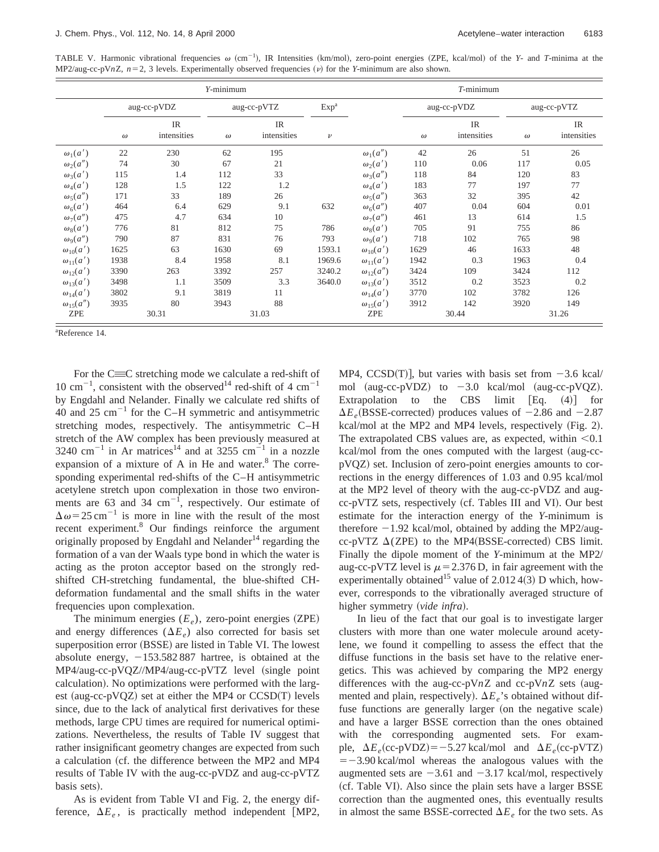TABLE V. Harmonic vibrational frequencies  $\omega$  (cm<sup>-1</sup>), IR Intensities (km/mol), zero-point energies (ZPE, kcal/mol) of the *Y*- and *T*-minima at the MP2/aug-cc-pV*n*Z,  $n=2$ , 3 levels. Experimentally observed frequencies (v) for the *Y*-minimum are also shown.

|                    |          |                          | $Y$ -minimum |                   |                  |                      |          | $T$ -minimum      |             |                   |
|--------------------|----------|--------------------------|--------------|-------------------|------------------|----------------------|----------|-------------------|-------------|-------------------|
|                    |          | aug-cc-pVDZ              |              | aug-cc-pVTZ       | Exp <sup>a</sup> |                      |          | aug-cc-pVDZ       | aug-cc-pVTZ |                   |
|                    | $\omega$ | <b>IR</b><br>intensities | $\omega$     | IR<br>intensities | $\nu$            |                      | $\omega$ | IR<br>intensities | $\omega$    | IR<br>intensities |
| $\omega_1(a')$     | 22       | 230                      | 62           | 195               |                  | $\omega_1(a'')$      | 42       | 26                | 51          | 26                |
| $\omega_2(a'')$    | 74       | 30                       | 67           | 21                |                  | $\omega_2(a')$       | 110      | 0.06              | 117         | 0.05              |
| $\omega_3(a')$     | 115      | 1.4                      | 112          | 33                |                  | $\omega_3(a'')$      | 118      | 84                | 120         | 83                |
| $\omega_4(a')$     | 128      | 1.5                      | 122          | 1.2               |                  | $\omega_4(a')$       | 183      | 77                | 197         | 77                |
| $\omega_5(a'')$    | 171      | 33                       | 189          | 26                |                  | $\omega_5(a'')$      | 363      | 32                | 395         | 42                |
| $\omega_6(a')$     | 464      | 6.4                      | 629          | 9.1               | 632              | $\omega_6(a'')$      | 407      | 0.04              | 604         | 0.01              |
| $\omega_7(a'')$    | 475      | 4.7                      | 634          | 10                |                  | $\omega_7(a'')$      | 461      | 13                | 614         | 1.5               |
| $\omega_8(a')$     | 776      | 81                       | 812          | 75                | 786              | $\omega_8(a')$       | 705      | 91                | 755         | 86                |
| $\omega_9(a'')$    | 790      | 87                       | 831          | 76                | 793              | $\omega_{\rm q}(a')$ | 718      | 102               | 765         | 98                |
| $\omega_{10}(a')$  | 1625     | 63                       | 1630         | 69                | 1593.1           | $\omega_{10}(a')$    | 1629     | 46                | 1633        | 48                |
| $\omega_{11}(a')$  | 1938     | 8.4                      | 1958         | 8.1               | 1969.6           | $\omega_{11}(a')$    | 1942     | 0.3               | 1963        | 0.4               |
| $\omega_{12}(a')$  | 3390     | 263                      | 3392         | 257               | 3240.2           | $\omega_{12}(a'')$   | 3424     | 109               | 3424        | 112               |
| $\omega_{13}(a')$  | 3498     | 1.1                      | 3509         | 3.3               | 3640.0           | $\omega_{13}(a')$    | 3512     | 0.2               | 3523        | 0.2               |
| $\omega_{14}(a')$  | 3802     | 9.1                      | 3819         | 11                |                  | $\omega_{14}(a')$    | 3770     | 102               | 3782        | 126               |
| $\omega_{15}(a'')$ | 3935     | 80                       | 3943         | 88                |                  | $\omega_{15}(a')$    | 3912     | 142               | 3920        | 149               |
| ZPE                |          | 30.31                    |              | 31.03             |                  | ZPE                  |          | 30.44             | 31.26       |                   |

a Reference 14.

For the  $C\equiv C$  stretching mode we calculate a red-shift of 10 cm<sup>-1</sup>, consistent with the observed<sup>14</sup> red-shift of 4 cm<sup>-1</sup> by Engdahl and Nelander. Finally we calculate red shifts of 40 and 25  $\text{cm}^{-1}$  for the C–H symmetric and antisymmetric stretching modes, respectively. The antisymmetric C–H stretch of the AW complex has been previously measured at 3240 cm<sup>-1</sup> in Ar matrices<sup>14</sup> and at  $3255$  cm<sup>-1</sup> in a nozzle expansion of a mixture of A in He and water. $8$  The corresponding experimental red-shifts of the C–H antisymmetric acetylene stretch upon complexation in those two environments are 63 and 34  $\text{cm}^{-1}$ , respectively. Our estimate of  $\Delta \omega$  = 25 cm<sup>-1</sup> is more in line with the result of the most recent experiment.8 Our findings reinforce the argument originally proposed by Engdahl and Nelander<sup>14</sup> regarding the formation of a van der Waals type bond in which the water is acting as the proton acceptor based on the strongly redshifted CH-stretching fundamental, the blue-shifted CHdeformation fundamental and the small shifts in the water frequencies upon complexation.

The minimum energies  $(E_e)$ , zero-point energies (ZPE) and energy differences  $(\Delta E_e)$  also corrected for basis set superposition error (BSSE) are listed in Table VI. The lowest absolute energy,  $-153.582 887$  hartree, is obtained at the  $MP4/aug-cc-pVQZ/MP4/aug-cc-pVTZ$  level (single point calculation). No optimizations were performed with the largest (aug-cc-pVQZ) set at either the MP4 or  $CCSD(T)$  levels since, due to the lack of analytical first derivatives for these methods, large CPU times are required for numerical optimizations. Nevertheless, the results of Table IV suggest that rather insignificant geometry changes are expected from such a calculation (cf. the difference between the MP2 and MP4 results of Table IV with the aug-cc-pVDZ and aug-cc-pVTZ basis sets).

As is evident from Table VI and Fig. 2, the energy difference,  $\Delta E_e$ , is practically method independent [MP2, MP4,  $CCSD(T)$ , but varies with basis set from  $-3.6$  kcal/ mol (aug-cc-pVDZ) to  $-3.0$  kcal/mol (aug-cc-pVQZ). Extrapolation to the CBS limit  $[Eq. (4)]$  for  $\Delta E_e$ (BSSE-corrected) produces values of  $-2.86$  and  $-2.87$ kcal/mol at the MP2 and MP4 levels, respectively  $(Fig. 2)$ . The extrapolated CBS values are, as expected, within  $< 0.1$  $kcal/mol$  from the ones computed with the largest (aug-ccpVQZ! set. Inclusion of zero-point energies amounts to corrections in the energy differences of 1.03 and 0.95 kcal/mol at the MP2 level of theory with the aug-cc-pVDZ and augcc-pVTZ sets, respectively (cf. Tables III and VI). Our best estimate for the interaction energy of the *Y*-minimum is therefore  $-1.92$  kcal/mol, obtained by adding the MP2/augcc-pVTZ  $\Delta$ (ZPE) to the MP4(BSSE-corrected) CBS limit. Finally the dipole moment of the *Y*-minimum at the MP2/ aug-cc-pVTZ level is  $\mu$  = 2.376 D, in fair agreement with the experimentally obtained<sup>15</sup> value of 2.012 4(3) D which, however, corresponds to the vibrationally averaged structure of higher symmetry (vide infra).

In lieu of the fact that our goal is to investigate larger clusters with more than one water molecule around acetylene, we found it compelling to assess the effect that the diffuse functions in the basis set have to the relative energetics. This was achieved by comparing the MP2 energy differences with the aug-cc-pV $nZ$  and cc-pV $nZ$  sets (augmented and plain, respectively).  $\Delta E_e$ 's obtained without diffuse functions are generally larger (on the negative scale) and have a larger BSSE correction than the ones obtained with the corresponding augmented sets. For example,  $\Delta E_e$ (cc-pVDZ)=-5.27 kcal/mol and  $\Delta E_e$ (cc-pVTZ)  $=$  -3.90 kcal/mol whereas the analogous values with the augmented sets are  $-3.61$  and  $-3.17$  kcal/mol, respectively (cf. Table VI). Also since the plain sets have a larger BSSE correction than the augmented ones, this eventually results in almost the same BSSE-corrected  $\Delta E_e$  for the two sets. As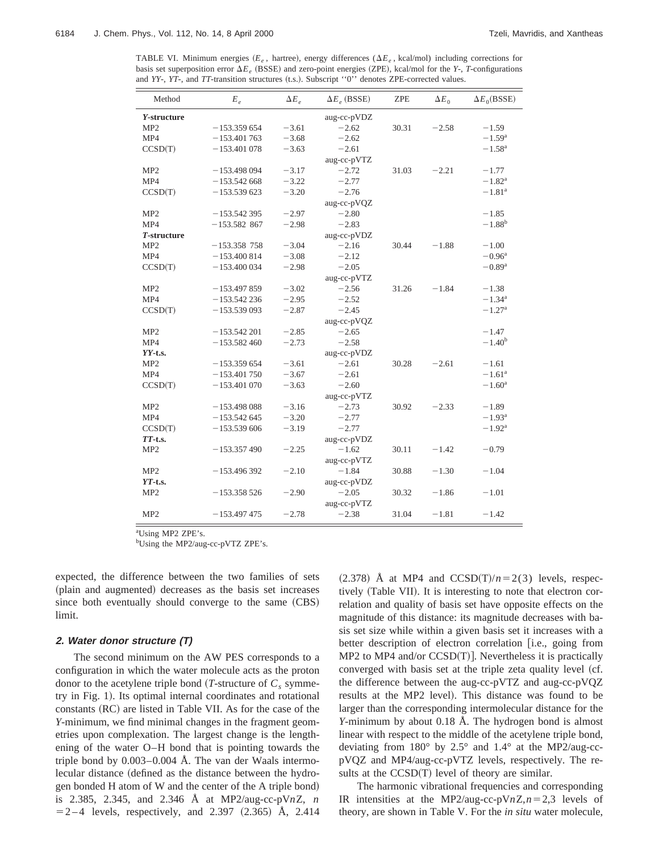TABLE VI. Minimum energies  $(E_e$ , hartree), energy differences ( $\Delta E_e$ , kcal/mol) including corrections for basis set superposition error  $\Delta E_e$  (BSSE) and zero-point energies (ZPE), kcal/mol for the *Y*-, *T*-configurations and *YY-*, *YT-*, and *TT*-transition structures (t.s.). Subscript "0" denotes ZPE-corrected values.

| Method          | $E_e$          | $\Delta E_e$ | $\Delta E_e$ (BSSE) | <b>ZPE</b> | $\Delta E_0$ | $\Delta E_0(BSSE)$   |
|-----------------|----------------|--------------|---------------------|------------|--------------|----------------------|
| Y-structure     |                |              | aug-cc-pVDZ         |            |              |                      |
| MP2             | $-153.359654$  | $-3.61$      | $-2.62$             | 30.31      | $-2.58$      | $-1.59$              |
| MP4             | $-153.401763$  | $-3.68$      | $-2.62$             |            |              | $-1.59$ <sup>a</sup> |
| CCSD(T)         | $-153.401078$  | $-3.63$      | $-2.61$             |            |              | $-1.58^{\rm a}$      |
|                 |                |              | aug-cc-pVTZ         |            |              |                      |
| MP <sub>2</sub> | $-153.498094$  | $-3.17$      | $-2.72$             | 31.03      | $-2.21$      | $-1.77$              |
| MP4             | $-153.542668$  | $-3.22$      | $-2.77$             |            |              | $-1.82^{\rm a}$      |
| CCSD(T)         | $-153.539623$  | $-3.20$      | $-2.76$             |            |              | $-1.81^{\rm a}$      |
|                 |                |              | aug-cc-pVQZ         |            |              |                      |
| MP <sub>2</sub> | $-153.542395$  | $-2.97$      | $-2.80$             |            |              | $-1.85$              |
| MP4             | $-153.582$ 867 | $-2.98$      | $-2.83$             |            |              | $-1.88^{b}$          |
| T-structure     |                |              | aug-cc-pVDZ         |            |              |                      |
| MP <sub>2</sub> | $-153.358$ 758 | $-3.04$      | $-2.16$             | 30.44      | $-1.88$      | $-1.00$              |
| MP4             | $-153.400814$  | $-3.08$      | $-2.12$             |            |              | $-0.96^{\rm a}$      |
| CCSD(T)         | $-153.400034$  | $-2.98$      | $-2.05$             |            |              | $-0.89$ <sup>a</sup> |
|                 |                |              | aug-cc-pVTZ         |            |              |                      |
| MP <sub>2</sub> | $-153.497859$  | $-3.02$      | $-2.56$             | 31.26      | $-1.84$      | $-1.38$              |
| MP4             | $-153.542236$  | $-2.95$      | $-2.52$             |            |              | $-1.34^{\rm a}$      |
| CCSD(T)         | $-153.539093$  | $-2.87$      | $-2.45$             |            |              | $-1.27$ <sup>a</sup> |
|                 |                |              | aug-cc-pVQZ         |            |              |                      |
| MP <sub>2</sub> | $-153.542201$  | $-2.85$      | $-2.65$             |            |              | $-1.47$              |
| MP4             | $-153.582460$  | $-2.73$      | $-2.58$             |            |              | $-1.40^b$            |
| $YY-t.s.$       |                |              | aug-cc-pVDZ         |            |              |                      |
| MP <sub>2</sub> | $-153.359654$  | $-3.61$      | $-2.61$             | 30.28      | $-2.61$      | $-1.61$              |
| MP4             | $-153.401750$  | $-3.67$      | $-2.61$             |            |              | $-1.61^a$            |
| CCSD(T)         | $-153.401070$  | $-3.63$      | $-2.60$             |            |              | $-1.60^{\rm a}$      |
|                 |                |              | aug-cc-pVTZ         |            |              |                      |
| MP <sub>2</sub> | $-153.498088$  | $-3.16$      | $-2.73$             | 30.92      | $-2.33$      | $-1.89$              |
| MP4             | $-153.542645$  | $-3.20$      | $-2.77$             |            |              | $-1.93^{\rm a}$      |
| CCSD(T)         | $-153.539606$  | $-3.19$      | $-2.77$             |            |              | $-1.92^{\rm a}$      |
| $TT$ -t.s.      |                |              | aug-cc-pVDZ         |            |              |                      |
| MP <sub>2</sub> | $-153.357490$  | $-2.25$      | $-1.62$             | 30.11      | $-1.42$      | $-0.79$              |
|                 |                |              | aug-cc-pVTZ         |            |              |                      |
| MP <sub>2</sub> | $-153.496392$  | $-2.10$      | $-1.84$             | 30.88      | $-1.30$      | $-1.04$              |
| $YT$ -t.s.      |                |              | aug-cc-pVDZ         |            |              |                      |
| MP <sub>2</sub> | $-153.358526$  | $-2.90$      | $-2.05$             | 30.32      | $-1.86$      | $-1.01$              |
|                 |                |              | aug-cc-pVTZ         |            |              |                      |
| MP <sub>2</sub> | $-153.497475$  | $-2.78$      | $-2.38$             | 31.04      | $-1.81$      | $-1.42$              |

<sup>a</sup>Using MP2 ZPE's.

bUsing the MP2/aug-cc-pVTZ ZPE's.

expected, the difference between the two families of sets (plain and augmented) decreases as the basis set increases since both eventually should converge to the same (CBS) limit.

#### **2. Water donor structure (T)**

The second minimum on the AW PES corresponds to a configuration in which the water molecule acts as the proton donor to the acetylene triple bond  $(T\text{-}structure of C_s symme$ try in Fig. 1). Its optimal internal coordinates and rotational constants (RC) are listed in Table VII. As for the case of the *Y*-minimum, we find minimal changes in the fragment geometries upon complexation. The largest change is the lengthening of the water O–H bond that is pointing towards the triple bond by 0.003–0.004 Å. The van der Waals intermolecular distance (defined as the distance between the hydrogen bonded H atom of W and the center of the A triple bond) is 2.385, 2.345, and 2.346 Å at MP2/aug-cc-pV*n*Z, *n*  $= 2 - 4$  levels, respectively, and 2.397  $(2.365)$  Å, 2.414  $(2.378)$  Å at MP4 and CCSD(T)/ $n=2(3)$  levels, respectively (Table VII). It is interesting to note that electron correlation and quality of basis set have opposite effects on the magnitude of this distance: its magnitude decreases with basis set size while within a given basis set it increases with a better description of electron correlation [i.e., going from MP2 to MP4 and/or  $CCSD(T)$ ]. Nevertheless it is practically converged with basis set at the triple zeta quality level (cf. the difference between the aug-cc-pVTZ and aug-cc-pVQZ results at the MP2 level). This distance was found to be larger than the corresponding intermolecular distance for the *Y*-minimum by about 0.18 Å. The hydrogen bond is almost linear with respect to the middle of the acetylene triple bond, deviating from 180° by 2.5° and 1.4° at the MP2/aug-ccpVQZ and MP4/aug-cc-pVTZ levels, respectively. The results at the  $CCSD(T)$  level of theory are similar.

The harmonic vibrational frequencies and corresponding IR intensities at the MP2/aug-cc-pV $nZ$ , $n=2,3$  levels of theory, are shown in Table V. For the *in situ* water molecule,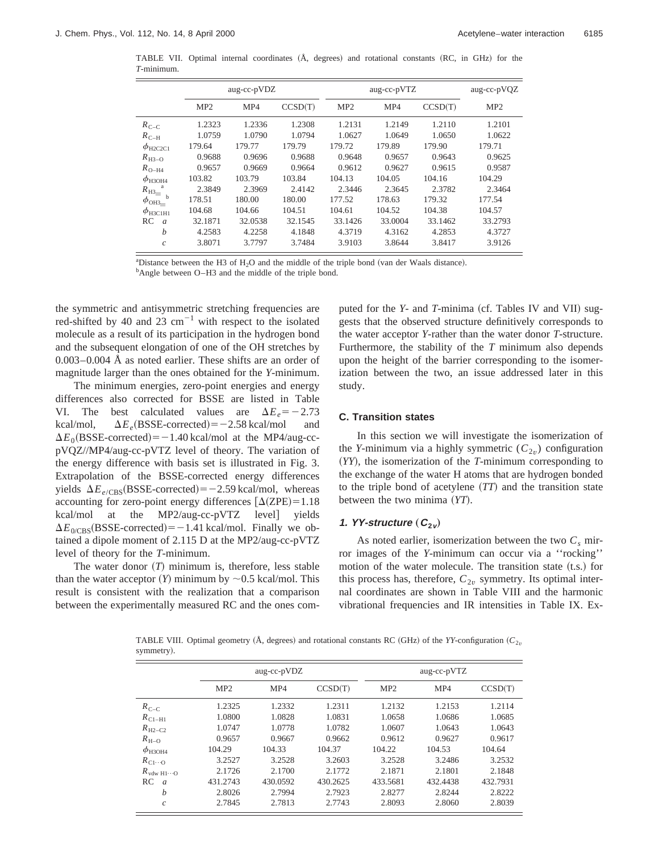TABLE VII. Optimal internal coordinates (Å, degrees) and rotational constants (RC, in GHz) for the *T*-minimum.

|                              |                 | aug-cc-pVDZ |         |                 | aug-cc-pVTZ |         | aug-cc-pVQZ     |
|------------------------------|-----------------|-------------|---------|-----------------|-------------|---------|-----------------|
|                              | MP <sub>2</sub> | MP4         | CCSD(T) | MP <sub>2</sub> | MP4         | CCSD(T) | MP <sub>2</sub> |
| $R_{C-C}$                    | 1.2323          | 1.2336      | 1.2308  | 1.2131          | 1.2149      | 1.2110  | 1.2101          |
| $R_{C-H}$                    | 1.0759          | 1.0790      | 1.0794  | 1.0627          | 1.0649      | 1.0650  | 1.0622          |
| $\phi_{\text{H2C2C1}}$       | 179.64          | 179.77      | 179.79  | 179.72          | 179.89      | 179.90  | 179.71          |
| $R_{H3-O}$                   | 0.9688          | 0.9696      | 0.9688  | 0.9648          | 0.9657      | 0.9643  | 0.9625          |
| $R_{\text{O-H4}}$            | 0.9657          | 0.9669      | 0.9664  | 0.9612          | 0.9627      | 0.9615  | 0.9587          |
| $\phi_{\text{H}3\text{OH}4}$ | 103.82          | 103.79      | 103.84  | 104.13          | 104.05      | 104.16  | 104.29          |
| $R_{\rm H3}$                 | 2.3849          | 2.3969      | 2.4142  | 2.3446          | 2.3645      | 2.3782  | 2.3464          |
| $\phi_{\text{OH3}_{\equiv}}$ | 178.51          | 180.00      | 180.00  | 177.52          | 178.63      | 179.32  | 177.54          |
| $\phi$ <sub>H3C1H1</sub>     | 104.68          | 104.66      | 104.51  | 104.61          | 104.52      | 104.38  | 104.57          |
| RC<br>$\overline{a}$         | 32.1871         | 32.0538     | 32.1545 | 33.1426         | 33.0004     | 33.1462 | 33.2793         |
| $\boldsymbol{b}$             | 4.2583          | 4.2258      | 4.1848  | 4.3719          | 4.3162      | 4.2853  | 4.3727          |
| $\mathcal{C}$                | 3.8071          | 3.7797      | 3.7484  | 3.9103          | 3.8644      | 3.8417  | 3.9126          |

<sup>a</sup>Distance between the H3 of H<sub>2</sub>O and the middle of the triple bond (van der Waals distance).

<sup>b</sup>Angle between O–H3 and the middle of the triple bond.

the symmetric and antisymmetric stretching frequencies are red-shifted by 40 and 23  $cm^{-1}$  with respect to the isolated molecule as a result of its participation in the hydrogen bond and the subsequent elongation of one of the OH stretches by 0.003–0.004 Å as noted earlier. These shifts are an order of magnitude larger than the ones obtained for the *Y*-minimum.

The minimum energies, zero-point energies and energy differences also corrected for BSSE are listed in Table VI. The best calculated values are  $\Delta E_e = -2.73$ <br>kcal/mol,  $\Delta E_e$ (BSSE-corrected) = -2.58 kcal/mol and kcal/mol,  $\Delta E_e(BSSE-corrected) = -2.58$  kcal/mol  $\Delta E_0(BSSE\text{-corrected}) = -1.40 \text{ kcal/mol}$  at the MP4/aug-ccpVQZ//MP4/aug-cc-pVTZ level of theory. The variation of the energy difference with basis set is illustrated in Fig. 3. Extrapolation of the BSSE-corrected energy differences yields  $\Delta E_{e/CBS}$ (BSSE-corrected) = -2.59 kcal/mol, whereas accounting for zero-point energy differences  $\lceil \Delta(ZPE) = 1.18 \rceil$ kcal/mol at the MP2/aug-cc-pVTZ level] yields  $\Delta E_{0/CBS}$ (BSSE-corrected) = -1.41 kcal/mol. Finally we obtained a dipole moment of 2.115 D at the MP2/aug-cc-pVTZ level of theory for the *T*-minimum.

The water donor  $(T)$  minimum is, therefore, less stable than the water acceptor  $(Y)$  minimum by  $\sim$  0.5 kcal/mol. This result is consistent with the realization that a comparison between the experimentally measured RC and the ones computed for the *Y*- and *T*-minima (cf. Tables IV and VII) suggests that the observed structure definitively corresponds to the water acceptor *Y*-rather than the water donor *T*-structure. Furthermore, the stability of the *T* minimum also depends upon the height of the barrier corresponding to the isomerization between the two, an issue addressed later in this study.

### **C. Transition states**

In this section we will investigate the isomerization of the *Y*-minimum via a highly symmetric  $(C_{2v})$  configuration ~*YY*!, the isomerization of the *T*-minimum corresponding to the exchange of the water H atoms that are hydrogen bonded to the triple bond of acetylene  $(TT)$  and the transition state between the two minima (*YT*).

# **1.** *YY-structure*  $(C_{2v})$

As noted earlier, isomerization between the two  $C_s$  mirror images of the *Y*-minimum can occur via a ''rocking'' motion of the water molecule. The transition state  $(t.s.)$  for this process has, therefore,  $C_{2v}$  symmetry. Its optimal internal coordinates are shown in Table VIII and the harmonic vibrational frequencies and IR intensities in Table IX. Ex-

TABLE VIII. Optimal geometry ( $\hat{A}$ , degrees) and rotational constants RC (GHz) of the *YY*-configuration ( $C_{2\nu}$ symmetry).

|                                   |                 | aug-cc-pVDZ |          |                 | aug-cc-pVTZ |          |  |  |
|-----------------------------------|-----------------|-------------|----------|-----------------|-------------|----------|--|--|
|                                   | MP <sub>2</sub> | MP4         | CCSD(T)  | MP <sub>2</sub> | MP4         | CCSD(T)  |  |  |
| $R_{C-C}$                         | 1.2325          | 1.2332      | 1.2311   | 1.2132          | 1.2153      | 1.2114   |  |  |
| $R_{\text{C1-H1}}$                | 1.0800          | 1.0828      | 1.0831   | 1.0658          | 1.0686      | 1.0685   |  |  |
| $R_{\text{H2}-\text{C2}}$         | 1.0747          | 1.0778      | 1.0782   | 1.0607          | 1.0643      | 1.0643   |  |  |
| $R_{\text{H}-\text{O}}$           | 0.9657          | 0.9667      | 0.9662   | 0.9612          | 0.9627      | 0.9617   |  |  |
| $\phi$ <sub>H3OH4</sub>           | 104.29          | 104.33      | 104.37   | 104.22          | 104.53      | 104.64   |  |  |
| $R_{C1\cdots O}$                  | 3.2527          | 3.2528      | 3.2603   | 3.2528          | 3.2486      | 3.2532   |  |  |
| $R_{\text{vdw H1}\cdots\text{O}}$ | 2.1726          | 2.1700      | 2.1772   | 2.1871          | 2.1801      | 2.1848   |  |  |
| RC<br>$\overline{a}$              | 431.2743        | 430.0592    | 430.2625 | 433.5681        | 432.4438    | 432.7931 |  |  |
| $\boldsymbol{b}$                  | 2.8026          | 2.7994      | 2.7923   | 2.8277          | 2.8244      | 2.8222   |  |  |
| $\mathcal{C}$                     | 2.7845          | 2.7813      | 2.7743   | 2.8093          | 2.8060      | 2.8039   |  |  |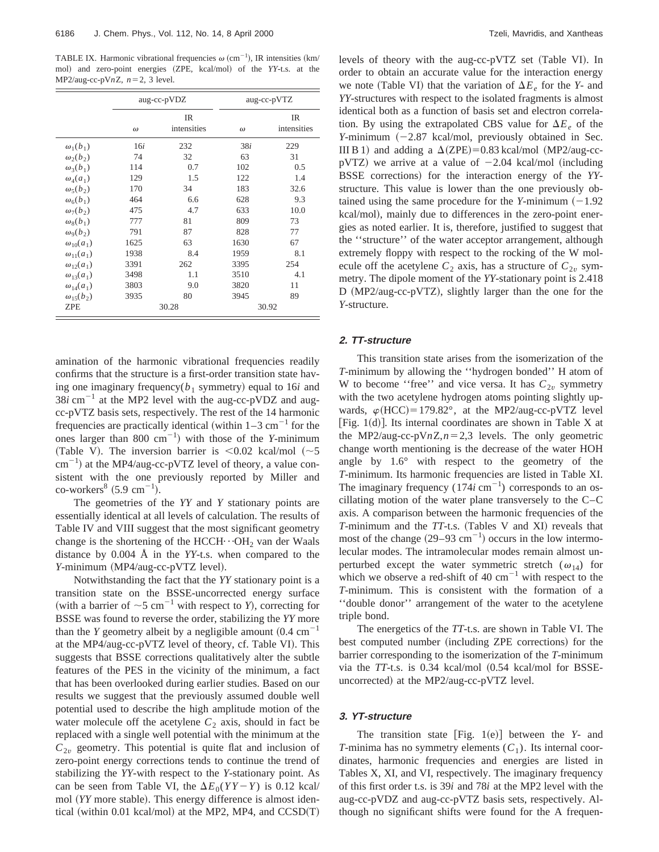TABLE IX. Harmonic vibrational frequencies  $\omega$  (cm<sup>-1</sup>), IR intensities (km/ mol) and zero-point energies (ZPE, kcal/mol) of the *YY-t.s.* at the MP2/aug-cc-pV $nZ$ ,  $n=2$ , 3 level.

|                     |          | aug-cc-pVDZ              |          | aug-cc-pVTZ              |
|---------------------|----------|--------------------------|----------|--------------------------|
|                     | $\omega$ | <b>IR</b><br>intensities | $\omega$ | <b>IR</b><br>intensities |
| $\omega_1(b_1)$     | 16i      | 232                      | 38i      | 229                      |
| $\omega_2(b_2)$     | 74       | 32                       | 63       | 31                       |
| $\omega_3(b_1)$     | 114      | 0.7                      | 102      | 0.5                      |
| $\omega_4(a_1)$     | 129      | 1.5                      | 122      | 1.4                      |
| $\omega_5(b_2)$     | 170      | 34                       | 183      | 32.6                     |
| $\omega_6(b_1)$     | 464      | 6.6                      | 628      | 9.3                      |
| $\omega_7(b_2)$     | 475      | 4.7                      | 633      | 10.0                     |
| $\omega_{8}(b_1)$   | 777      | 81                       | 809      | 73                       |
| $\omega_{9}(b_{2})$ | 791      | 87                       | 828      | 77                       |
| $\omega_{10}(a_1)$  | 1625     | 63                       | 1630     | 67                       |
| $\omega_{11}(a_1)$  | 1938     | 8.4                      | 1959     | 8.1                      |
| $\omega_{12}(a_1)$  | 3391     | 262                      | 3395     | 254                      |
| $\omega_{13}(a_1)$  | 3498     | 1.1                      | 3510     | 4.1                      |
| $\omega_{14}(a_1)$  | 3803     | 9.0                      | 3820     | 11                       |
| $\omega_{15}(b_2)$  | 3935     | 80                       | 3945     | 89                       |
| <b>ZPE</b>          |          | 30.28                    |          | 30.92                    |

amination of the harmonic vibrational frequencies readily confirms that the structure is a first-order transition state having one imaginary frequency( $b_1$  symmetry) equal to 16*i* and  $38i$  cm<sup>-1</sup> at the MP2 level with the aug-cc-pVDZ and augcc-pVTZ basis sets, respectively. The rest of the 14 harmonic frequencies are practically identical (within  $1-3$  cm<sup>-1</sup> for the ones larger than 800  $\text{cm}^{-1}$ ) with those of the *Y*-minimum (Table V). The inversion barrier is  $\leq 0.02$  kcal/mol ( $\sim 5$ )  $\text{cm}^{-1}$ ) at the MP4/aug-cc-pVTZ level of theory, a value consistent with the one previously reported by Miller and  $\text{co-workers}^8$  (5.9 cm<sup>-1</sup>).

The geometries of the *YY* and *Y* stationary points are essentially identical at all levels of calculation. The results of Table IV and VIII suggest that the most significant geometry change is the shortening of the HCCH $\cdot$  $\cdot$ OH<sub>2</sub> van der Waals distance by 0.004 Å in the *YY*-t.s. when compared to the *Y*-minimum (MP4/aug-cc-pVTZ level).

Notwithstanding the fact that the *YY* stationary point is a transition state on the BSSE-uncorrected energy surface (with a barrier of  $\sim$ 5 cm<sup>-1</sup> with respect to *Y*), correcting for BSSE was found to reverse the order, stabilizing the *YY* more than the *Y* geometry albeit by a negligible amount  $(0.4 \text{ cm}^{-1})$ at the MP4/aug-cc-pVTZ level of theory, cf. Table VI). This suggests that BSSE corrections qualitatively alter the subtle features of the PES in the vicinity of the minimum, a fact that has been overlooked during earlier studies. Based on our results we suggest that the previously assumed double well potential used to describe the high amplitude motion of the water molecule off the acetylene  $C_2$  axis, should in fact be replaced with a single well potential with the minimum at the  $C_{2v}$  geometry. This potential is quite flat and inclusion of zero-point energy corrections tends to continue the trend of stabilizing the *YY*-with respect to the *Y*-stationary point. As can be seen from Table VI, the  $\Delta E_0(YY - Y)$  is 0.12 kcal/ mol (YY more stable). This energy difference is almost identical (within 0.01 kcal/mol) at the MP2, MP4, and  $CCSD(T)$  levels of theory with the aug-cc-pVTZ set (Table VI). In order to obtain an accurate value for the interaction energy we note (Table VI) that the variation of  $\Delta E_e$  for the *Y*- and *YY*-structures with respect to the isolated fragments is almost identical both as a function of basis set and electron correlation. By using the extrapolated CBS value for  $\Delta E_e$  of the *Y*-minimum  $(-2.87 \text{ kcal/mol}, \text{previously obtained in Sec.}$ III B 1) and adding a  $\Delta$ (ZPE)=0.83 kcal/mol (MP2/aug-ccpVTZ) we arrive at a value of  $-2.04$  kcal/mol (including BSSE corrections) for the interaction energy of the *YY*structure. This value is lower than the one previously obtained using the same procedure for the *Y*-minimum  $(-1.92)$ kcal/mol), mainly due to differences in the zero-point energies as noted earlier. It is, therefore, justified to suggest that the ''structure'' of the water acceptor arrangement, although extremely floppy with respect to the rocking of the W molecule off the acetylene  $C_2$  axis, has a structure of  $C_{2v}$  symmetry. The dipole moment of the *YY*-stationary point is 2.418 D (MP2/aug-cc-pVTZ), slightly larger than the one for the *Y*-structure.

### **2. TT-structure**

This transition state arises from the isomerization of the *T*-minimum by allowing the ''hydrogen bonded'' H atom of W to become "free" and vice versa. It has  $C_{2v}$  symmetry with the two acetylene hydrogen atoms pointing slightly upwards,  $\varphi(HCC) = 179.82^{\circ}$ , at the MP2/aug-cc-pVTZ level [Fig. 1(d)]. Its internal coordinates are shown in Table X at the MP2/aug-cc-pV $nZ$ , $n=2,3$  levels. The only geometric change worth mentioning is the decrease of the water HOH angle by 1.6° with respect to the geometry of the *T*-minimum. Its harmonic frequencies are listed in Table XI. The imaginary frequency  $(174i \text{ cm}^{-1})$  corresponds to an oscillating motion of the water plane transversely to the C–C axis. A comparison between the harmonic frequencies of the *T*-minimum and the *TT*-t.s. (Tables V and XI) reveals that most of the change  $(29-93 \text{ cm}^{-1})$  occurs in the low intermolecular modes. The intramolecular modes remain almost unperturbed except the water symmetric stretch  $(\omega_{14})$  for which we observe a red-shift of 40  $\text{cm}^{-1}$  with respect to the *T*-minimum. This is consistent with the formation of a ''double donor'' arrangement of the water to the acetylene triple bond.

The energetics of the *TT*-t.s. are shown in Table VI. The best computed number (including ZPE corrections) for the barrier corresponding to the isomerization of the *T*-minimum via the *TT*-t.s. is 0.34 kcal/mol (0.54 kcal/mol for BSSEuncorrected) at the MP2/aug-cc-pVTZ level.

# **3. YT-structure**

The transition state  $[Fig. 1(e)]$  between the *Y*- and *T*-minima has no symmetry elements  $(C_1)$ . Its internal coordinates, harmonic frequencies and energies are listed in Tables X, XI, and VI, respectively. The imaginary frequency of this first order t.s. is 39*i* and 78*i* at the MP2 level with the aug-cc-pVDZ and aug-cc-pVTZ basis sets, respectively. Although no significant shifts were found for the A frequen-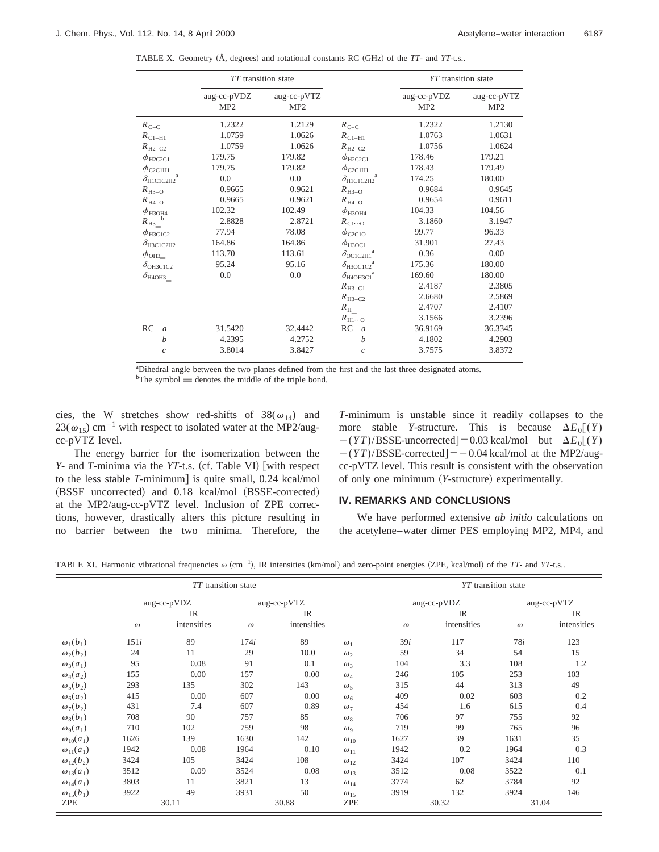TABLE X. Geometry (Å, degrees) and rotational constants RC (GHz) of the *TT*- and *YT*-t.s..

|                              | TT transition state            |                                |                                                            |                                | YT transition state            |
|------------------------------|--------------------------------|--------------------------------|------------------------------------------------------------|--------------------------------|--------------------------------|
|                              | aug-cc-pVDZ<br>MP <sub>2</sub> | aug-cc-pVTZ<br>MP <sub>2</sub> |                                                            | aug-cc-pVDZ<br>MP <sub>2</sub> | aug-cc-pVTZ<br>MP <sub>2</sub> |
| $R_{C-C}$                    | 1.2322                         | 1.2129                         | $R_{C-C}$                                                  | 1.2322                         | 1.2130                         |
| $R_{\text{C1-H1}}$           | 1.0759                         | 1.0626                         | $R_{\text{C1-H1}}$                                         | 1.0763                         | 1.0631                         |
| $R_{\text{H2}-\text{C2}}$    | 1.0759                         | 1.0626                         | $R_{\rm H2-C2}$                                            | 1.0756                         | 1.0624                         |
| $\phi_{\text{H2C2C1}}$       | 179.75                         | 179.82                         | $\phi$ <sub>H2C2C1</sub>                                   | 178.46                         | 179.21                         |
| $\phi_{\rm C2C1H1}$          | 179.75                         | 179.82                         | $\phi_{\rm C2C1H1}$                                        | 178.43                         | 179.49                         |
| a<br>$\delta_{\rm HICIC2H2}$ | 0.0                            | 0.0                            | $\delta_{\rm H1C1C2H2}{}^{\rm a}$                          | 174.25                         | 180.00                         |
| $R_{H3-O}$                   | 0.9665                         | 0.9621                         | $R_{H3-O}$                                                 | 0.9684                         | 0.9645                         |
| $R_{H4-O}$                   | 0.9665                         | 0.9621                         | $R_{\text{H4-O}}$                                          | 0.9654                         | 0.9611                         |
| $\phi_{\text{H}3\text{OH}4}$ | 102.32                         | 102.49                         | $\phi_{\rm H3OH4}$                                         | 104.33                         | 104.56                         |
| $R_{\rm H3}$                 | 2.8828                         | 2.8721                         | $R_{C1\cdots O}$                                           | 3.1860                         | 3.1947                         |
| $\phi$ <sub>H3C1C2</sub>     | 77.94                          | 78.08                          | $\phi_{\rm C2C1O}$                                         | 99.77                          | 96.33                          |
| $\delta_{\rm H3C1C2H2}$      | 164.86                         | 164.86                         | $\phi$ <sub>H3OC1</sub>                                    | 31.901                         | 27.43                          |
| $\phi$ OH3=                  | 113.70                         | 113.61                         | $\delta$ <sub>OC1C2H1</sub> <sup><math>\dot{}</math></sup> | 0.36                           | 0.00                           |
| $\delta_{\rm OH3C1C2}$       | 95.24                          | 95.16                          | $\delta_{\text{H3OC1C2}}^{\text{a}}$                       | 175.36                         | 180.00                         |
| $\delta_{\rm H4OH3}$         | 0.0                            | 0.0                            | $\delta_{\text{H4OH3C1}}$                                  | 169.60                         | 180.00                         |
|                              |                                |                                | $R_{\text{H3}-\text{C1}}$                                  | 2.4187                         | 2.3805                         |
|                              |                                |                                | $R_{\text{H}^3-\text{C}2}$                                 | 2.6680                         | 2.5869                         |
|                              |                                |                                | $R_{\text{H}_{\text{m}}}$                                  | 2.4707                         | 2.4107                         |
|                              |                                |                                | $R_{\text{H1}\cdots\text{O}}$                              | 3.1566                         | 3.2396                         |
| RC<br>$\alpha$               | 31.5420                        | 32.4442                        | RC<br>$\mathfrak{a}$                                       | 36.9169                        | 36.3345                        |
| b                            | 4.2395                         | 4.2752                         | $\boldsymbol{b}$                                           | 4.1802                         | 4.2903                         |
| $\mathcal{C}_{0}$            | 3.8014                         | 3.8427                         | $\mathcal{C}$                                              | 3.7575                         | 3.8372                         |

<sup>a</sup>Dihedral angle between the two planes defined from the first and the last three designated atoms.  $\Phi$ The symbol  $\equiv$  denotes the middle of the triple bond.

cies, the W stretches show red-shifts of  $38(\omega_{14})$  and  $23(\omega_{15})$  cm<sup>-1</sup> with respect to isolated water at the MP2/augcc-pVTZ level.

The energy barrier for the isomerization between the *Y*- and *T*-minima via the *YT*-t.s. (cf. Table VI) [with respect to the less stable *T*-minimum] is quite small, 0.24 kcal/mol (BSSE uncorrected) and 0.18 kcal/mol (BSSE-corrected) at the MP2/aug-cc-pVTZ level. Inclusion of ZPE corrections, however, drastically alters this picture resulting in no barrier between the two minima. Therefore, the *T*-minimum is unstable since it readily collapses to the more stable *Y*-structure. This is because  $\Delta E_0[(Y)]$  $-(\gamma T)/BSSE$ -uncorrected = 0.03 kcal/mol but  $\Delta E_0[(Y)]$  $-(\gamma T)/BSSE\text{-corrected}$  = -0.04 kcal/mol at the MP2/augcc-pVTZ level. This result is consistent with the observation of only one minimum (*Y*-structure) experimentally.

## **IV. REMARKS AND CONCLUSIONS**

We have performed extensive *ab initio* calculations on the acetylene–water dimer PES employing MP2, MP4, and

|  |  |  |  |  | TABLE XI. Harmonic vibrational frequencies $\omega$ (cm <sup>-1</sup> ), IR intensities (km/mol) and zero-point energies (ZPE, kcal/mol) of the TT- and YT-t.s |
|--|--|--|--|--|----------------------------------------------------------------------------------------------------------------------------------------------------------------|
|--|--|--|--|--|----------------------------------------------------------------------------------------------------------------------------------------------------------------|

|                    |          |             | <i>TT</i> transition state |             |               |          | YT transition state |          |             |  |
|--------------------|----------|-------------|----------------------------|-------------|---------------|----------|---------------------|----------|-------------|--|
|                    |          | aug-cc-pVDZ |                            | aug-cc-pVTZ |               |          | aug-cc-pVDZ         |          | aug-cc-pVTZ |  |
|                    |          | <b>IR</b>   |                            | <b>IR</b>   |               |          | <b>IR</b>           |          | IR          |  |
|                    | $\omega$ | intensities | $\omega$                   | intensities |               | $\omega$ | intensities         | $\omega$ | intensities |  |
| $\omega_1(b_1)$    | 151i     | 89          | 174i                       | 89          | $\omega_1$    | 39i      | 117                 | 78i      | 123         |  |
| $\omega_2(b_2)$    | 24       | 11          | 29                         | 10.0        | $\omega_2$    | 59       | 34                  | 54       | 15          |  |
| $\omega_3(a_1)$    | 95       | 0.08        | 91                         | 0.1         | $\omega_3$    | 104      | 3.3                 | 108      | 1.2         |  |
| $\omega_4(a_2)$    | 155      | 0.00        | 157                        | 0.00        | $\omega_4$    | 246      | 105                 | 253      | 103         |  |
| $\omega_5(b_2)$    | 293      | 135         | 302                        | 143         | $\omega_5$    | 315      | 44                  | 313      | 49          |  |
| $\omega_6(a_2)$    | 415      | 0.00        | 607                        | 0.00        | $\omega_6$    | 409      | 0.02                | 603      | 0.2         |  |
| $\omega_7(b_2)$    | 431      | 7.4         | 607                        | 0.89        | $\omega_7$    | 454      | 1.6                 | 615      | 0.4         |  |
| $\omega_8(b_1)$    | 708      | 90          | 757                        | 85          | $\omega_8$    | 706      | 97                  | 755      | 92          |  |
| $\omega_9(a_1)$    | 710      | 102         | 759                        | 98          | $\omega_{9}$  | 719      | 99                  | 765      | 96          |  |
| $\omega_{10}(a_1)$ | 1626     | 139         | 1630                       | 142         | $\omega_{10}$ | 1627     | 39                  | 1631     | 35          |  |
| $\omega_{11}(a_1)$ | 1942     | 0.08        | 1964                       | 0.10        | $\omega_{11}$ | 1942     | 0.2                 | 1964     | 0.3         |  |
| $\omega_{12}(b_2)$ | 3424     | 105         | 3424                       | 108         | $\omega_{12}$ | 3424     | 107                 | 3424     | 110         |  |
| $\omega_{13}(a_1)$ | 3512     | 0.09        | 3524                       | 0.08        | $\omega_{13}$ | 3512     | 0.08                | 3522     | 0.1         |  |
| $\omega_{14}(a_1)$ | 3803     | 11          | 3821                       | 13          | $\omega_{14}$ | 3774     | 62                  | 3784     | 92          |  |
| $\omega_{15}(b_1)$ | 3922     | 49          | 3931                       | 50          | $\omega_{15}$ | 3919     | 132                 | 3924     | 146         |  |
| ZPE                |          | 30.11       |                            | 30.88       | <b>ZPE</b>    |          | 30.32               |          | 31.04       |  |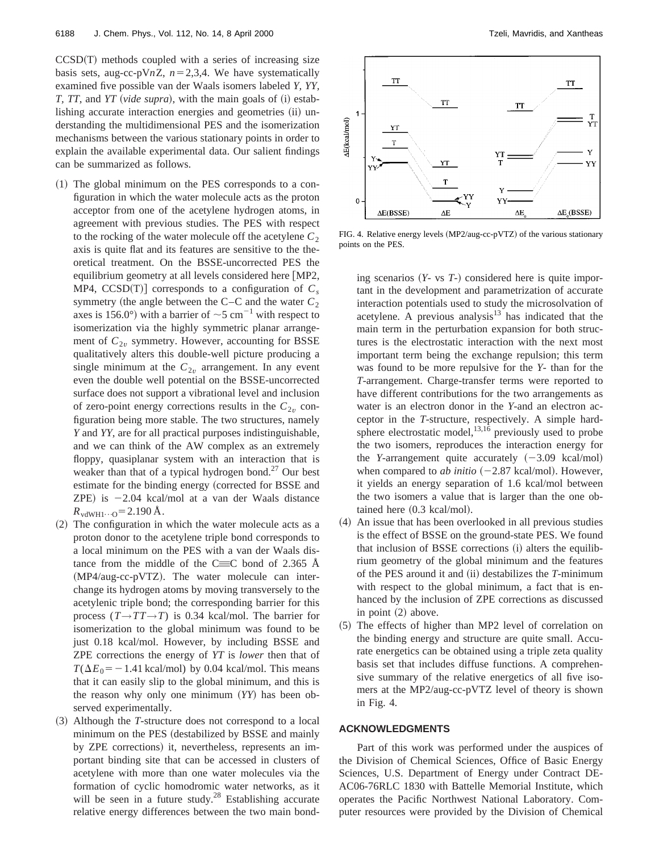$CCSD(T)$  methods coupled with a series of increasing size basis sets, aug-cc-pV $nZ$ ,  $n=2,3,4$ . We have systematically examined five possible van der Waals isomers labeled *Y, YY, T, TT, and YT (vide supra), with the main goals of*  $(i)$  *estab*lishing accurate interaction energies and geometries (ii) understanding the multidimensional PES and the isomerization mechanisms between the various stationary points in order to explain the available experimental data. Our salient findings can be summarized as follows.

- $(1)$  The global minimum on the PES corresponds to a configuration in which the water molecule acts as the proton acceptor from one of the acetylene hydrogen atoms, in agreement with previous studies. The PES with respect to the rocking of the water molecule off the acetylene  $C_2$ axis is quite flat and its features are sensitive to the theoretical treatment. On the BSSE-uncorrected PES the equilibrium geometry at all levels considered here  $[MP2]$ , MP4,  $CCSD(T)$  corresponds to a configuration of  $C_s$ symmetry (the angle between the C–C and the water  $C_2$ axes is 156.0°) with a barrier of  $\sim$ 5 cm<sup>-1</sup> with respect to isomerization via the highly symmetric planar arrangement of  $C_{2v}$  symmetry. However, accounting for BSSE qualitatively alters this double-well picture producing a single minimum at the  $C_{2v}$  arrangement. In any event even the double well potential on the BSSE-uncorrected surface does not support a vibrational level and inclusion of zero-point energy corrections results in the  $C_{2v}$  configuration being more stable. The two structures, namely *Y* and *YY*, are for all practical purposes indistinguishable, and we can think of the AW complex as an extremely floppy, quasiplanar system with an interaction that is weaker than that of a typical hydrogen bond.<sup>27</sup> Our best estimate for the binding energy (corrected for BSSE and ZPE) is  $-2.04$  kcal/mol at a van der Waals distance  $R_{\text{vdWH1}\cdots\text{O}} = 2.190 \,\text{\AA}.$
- $(2)$  The configuration in which the water molecule acts as a proton donor to the acetylene triple bond corresponds to a local minimum on the PES with a van der Waals distance from the middle of the C $\equiv$ C bond of 2.365 Å  $(MP4/aug-cc-pVTZ)$ . The water molecule can interchange its hydrogen atoms by moving transversely to the acetylenic triple bond; the corresponding barrier for this process  $(T \rightarrow TT \rightarrow T)$  is 0.34 kcal/mol. The barrier for isomerization to the global minimum was found to be just 0.18 kcal/mol. However, by including BSSE and ZPE corrections the energy of *YT* is *lower* then that of  $T(\Delta E_0 = -1.41 \text{ kcal/mol})$  by 0.04 kcal/mol. This means that it can easily slip to the global minimum, and this is the reason why only one minimum (YY) has been observed experimentally.
- ~3! Although the *T*-structure does not correspond to a local minimum on the PES (destabilized by BSSE and mainly by ZPE corrections) it, nevertheless, represents an important binding site that can be accessed in clusters of acetylene with more than one water molecules via the formation of cyclic homodromic water networks, as it will be seen in a future study. $28$  Establishing accurate relative energy differences between the two main bond-



FIG. 4. Relative energy levels  $(MP2/aug-cc-pVTZ)$  of the various stationary points on the PES.

ing scenarios  $(Y - vs T<sub>-</sub>)$  considered here is quite important in the development and parametrization of accurate interaction potentials used to study the microsolvation of acetylene. A previous analysis<sup>13</sup> has indicated that the main term in the perturbation expansion for both structures is the electrostatic interaction with the next most important term being the exchange repulsion; this term was found to be more repulsive for the *Y*- than for the *T*-arrangement. Charge-transfer terms were reported to have different contributions for the two arrangements as water is an electron donor in the *Y*-and an electron acceptor in the *T*-structure, respectively. A simple hardsphere electrostatic model, $^{13,16}$  previously used to probe the two isomers, reproduces the interaction energy for the *Y*-arrangement quite accurately  $(-3.09 \text{ kcal/mol})$ when compared to *ab initio*  $(-2.87 \text{ kcal/mol})$ . However, it yields an energy separation of 1.6 kcal/mol between the two isomers a value that is larger than the one obtained here  $(0.3 \text{ kcal/mol}).$ 

- ~4! An issue that has been overlooked in all previous studies is the effect of BSSE on the ground-state PES. We found that inclusion of BSSE corrections  $(i)$  alters the equilibrium geometry of the global minimum and the features of the PES around it and (ii) destabilizes the *T*-minimum with respect to the global minimum, a fact that is enhanced by the inclusion of ZPE corrections as discussed in point  $(2)$  above.
- (5) The effects of higher than MP2 level of correlation on the binding energy and structure are quite small. Accurate energetics can be obtained using a triple zeta quality basis set that includes diffuse functions. A comprehensive summary of the relative energetics of all five isomers at the MP2/aug-cc-pVTZ level of theory is shown in Fig. 4.

### **ACKNOWLEDGMENTS**

Part of this work was performed under the auspices of the Division of Chemical Sciences, Office of Basic Energy Sciences, U.S. Department of Energy under Contract DE-AC06-76RLC 1830 with Battelle Memorial Institute, which operates the Pacific Northwest National Laboratory. Computer resources were provided by the Division of Chemical